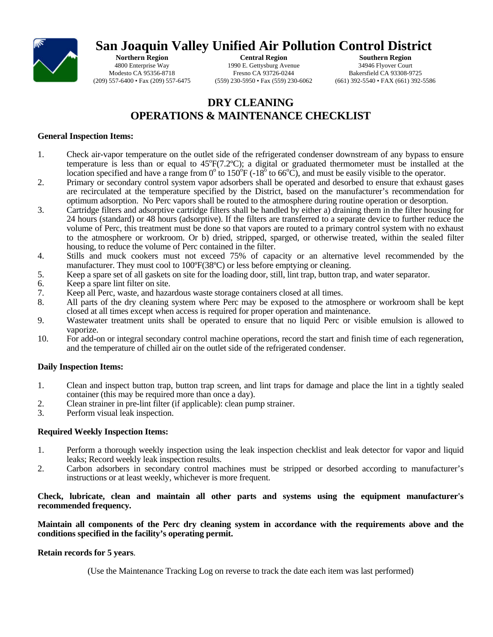

# **San Joaquin Valley Unified Air Pollution Control District**

**Northern Region** 4800 Enterprise Way Modesto CA 95356-8718 (209) 557-6400 • Fax (209) 557-6475

**Central Region**  1990 E. Gettysburg Avenue Fresno CA 93726-0244 (559) 230-5950 • Fax (559) 230-6062

**Southern Region** 34946 Flyover Court Bakersfield CA 93308-9725 (661) 392-5540 • FAX (661) 392-5586

### **DRY CLEANING OPERATIONS & MAINTENANCE CHECKLIST**

#### **General Inspection Items:**

- 1. Check air-vapor temperature on the outlet side of the refrigerated condenser downstream of any bypass to ensure temperature is less than or equal to  $45^{\circ}F(7.2^{\circ}C)$ ; a digital or graduated thermometer must be installed at the location specified and have a range from  $0^{\circ}$  to  $150^{\circ}$ F (-18<sup> $\circ$ </sup> to 66 $^{\circ}$ C), and must be easily visible to the operator.
- 2. Primary or secondary control system vapor adsorbers shall be operated and desorbed to ensure that exhaust gases are recirculated at the temperature specified by the District, based on the manufacturer's recommendation for optimum adsorption. No Perc vapors shall be routed to the atmosphere during routine operation or desorption.
- 3. Cartridge filters and adsorptive cartridge filters shall be handled by either a) draining them in the filter housing for 24 hours (standard) or 48 hours (adsorptive). If the filters are transferred to a separate device to further reduce the volume of Perc, this treatment must be done so that vapors are routed to a primary control system with no exhaust to the atmosphere or workroom. Or b) dried, stripped, sparged, or otherwise treated, within the sealed filter housing, to reduce the volume of Perc contained in the filter.
- 4. Stills and muck cookers must not exceed 75% of capacity or an alternative level recommended by the manufacturer. They must cool to 100°F(38°C) or less before emptying or cleaning.
- 5. Keep a spare set of all gaskets on site for the loading door, still, lint trap, button trap, and water separator.
- 6. Keep a spare lint filter on site.
- 7. Keep all Perc, waste, and hazardous waste storage containers closed at all times.
- 8. All parts of the dry cleaning system where Perc may be exposed to the atmosphere or workroom shall be kept closed at all times except when access is required for proper operation and maintenance.
- 9. Wastewater treatment units shall be operated to ensure that no liquid Perc or visible emulsion is allowed to vaporize.
- 10. For add-on or integral secondary control machine operations, record the start and finish time of each regeneration, and the temperature of chilled air on the outlet side of the refrigerated condenser.

### **Daily Inspection Items:**

- 1. Clean and inspect button trap, button trap screen, and lint traps for damage and place the lint in a tightly sealed container (this may be required more than once a day).
- 2. Clean strainer in pre-lint filter (if applicable): clean pump strainer.<br>
Perform visual leak inspection
- Perform visual leak inspection.

### **Required Weekly Inspection Items:**

- 1. Perform a thorough weekly inspection using the leak inspection checklist and leak detector for vapor and liquid leaks; Record weekly leak inspection results.
- 2. Carbon adsorbers in secondary control machines must be stripped or desorbed according to manufacturer's instructions or at least weekly, whichever is more frequent.

**Check, lubricate, clean and maintain all other parts and systems using the equipment manufacturer's recommended frequency.** 

**Maintain all components of the Perc dry cleaning system in accordance with the requirements above and the conditions specified in the facility's operating permit.** 

#### **Retain records for 5 years**.

(Use the Maintenance Tracking Log on reverse to track the date each item was last performed)